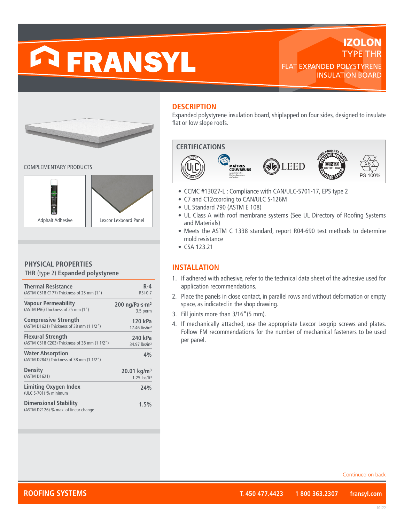# **FRANSYL**

# **IZOLON** TYPE THR FLAT EXPANDED POLYSTYRENE INSULATION BOARD



COMPLEMENTARY PRODUCTS



# **PHYSICAL PROPERTIES**

**THR** (type 2) **Expanded polystyrene**

| <b>Thermal Resistance</b>                                            | $R - 4$                    |
|----------------------------------------------------------------------|----------------------------|
| (ASTM C518 C177) Thickness of 25 mm (1")                             | $RSI-0.7$                  |
| <b>Vapour Permeability</b>                                           | 200 ng/Pa·s·m <sup>2</sup> |
| (ASTM E96) Thickness of 25 mm (1")                                   | 3.5 perm                   |
| <b>Compressive Strength</b>                                          | 120 kPa                    |
| (ASTM D1621) Thickness of 38 mm (1 1/2")                             | 17.46 lbs/in <sup>2</sup>  |
| <b>Flexural Strength</b>                                             | 240 kPa                    |
| (ASTM C518 C203) Thickness of 38 mm (1 1/2")                         | 34.97 lbs/in <sup>2</sup>  |
| <b>Water Absorption</b><br>(ASTM D2842) Thickness of 38 mm (1 1/2")  | 4%                         |
| <b>Density</b>                                                       | 20.01 kg/m <sup>3</sup>    |
| (ASTM D1621)                                                         | $1.25$ lbs/ft <sup>3</sup> |
| Limiting Oxygen Index<br>(ULC S-701) % minimum                       | 24%                        |
| <b>Dimensional Stability</b><br>(ASTM D2126) % max. of linear change | 1.5%                       |

# **DESCRIPTION**

Expanded polystyrene insulation board, shiplapped on four sides, designed to insulate flat or low slope roofs.



- CCMC #13027-L : Compliance with CAN/ULC-S701-17, EPS type 2
- C7 and C12ccording to CAN/ULC S-126M
- UL Standard 790 (ASTM E 108)
- UL Class A with roof membrane systems (See UL Directory of Roofing Systems and Materials)
- Meets the ASTM C 1338 standard, report R04-690 test methods to determine mold resistance
- CSA 123.21

# **INSTALLATION**

- 1. If adhered with adhesive, refer to the technical data sheet of the adhesive used for application recommendations.
- 2. Place the panels in close contact, in parallel rows and without deformation or empty space, as indicated in the shop drawing.
- 3. Fill joints more than 3/16"(5 mm).
- 4. If mechanically attached, use the appropriate Lexcor Lexgrip screws and plates. Follow FM recommendations for the number of mechanical fasteners to be used per panel.

Continued on back